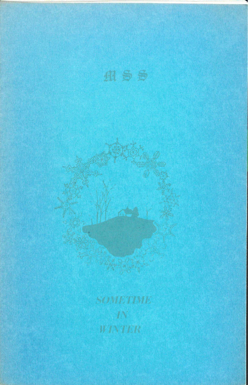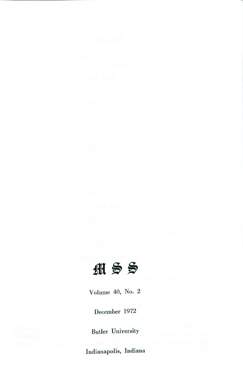

Volume 40, No. 2

December 1972

Butler University

Indianapolis, Indiana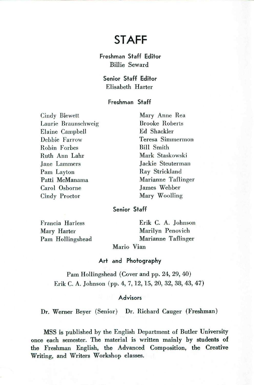# **STAFF**

Freshman Staff Editor Billie Seward

Senior Staff Editor Elisabeth Harter

# Freshman Staff

Cindy Blewett Laurie Braunschweig Elaine Campbell Debbie Farrow Robin Forbes Ruth Ann Lahr Jane Lammers Pam Layton Patti McManama Carol Osborne Cindy Proctor

Mary Anne Rea Brooke Roberts Ed Shackler Teresa Simmerrnon Bill Smith Mark Staskowski Jackie Steuterman Ray Strickland Marianne Taflinger James Webber Mary Woolling

## Senior Staff

Francia Harless Mary Harter Pam Hollingshead Erik C. A. Johnson Marilyn Penovich Marianne Taflinger

Mario Vian

# Art and Photography

Pam Hollingshead (Cover and pp. 24, 29, 40) Erik C. A. Johnson (pp. 4, 7, 12, 15, 20, 32, 38, 43, 47)

## Advisors

Dr. Werner Beyer (Senior) Dr. Richard Cauger (Freshman)

MSS is published by the English Department of Butler University once each semester. The material is written mainly by students of the Freshman English, the Advanced Composition, the Creative Writing, and Writers Workshop classes.